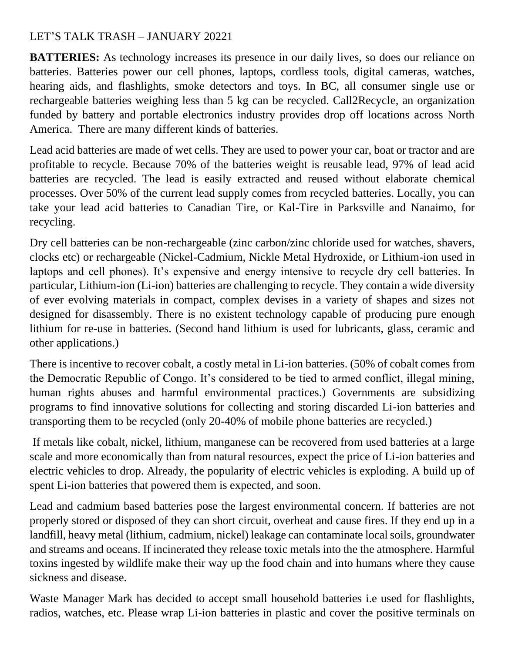## LET'S TALK TRASH – JANUARY 20221

**BATTERIES:** As technology increases its presence in our daily lives, so does our reliance on batteries. Batteries power our cell phones, laptops, cordless tools, digital cameras, watches, hearing aids, and flashlights, smoke detectors and toys. In BC, all consumer single use or rechargeable batteries weighing less than 5 kg can be recycled. Call2Recycle, an organization funded by battery and portable electronics industry provides drop off locations across North America. There are many different kinds of batteries.

Lead acid batteries are made of wet cells. They are used to power your car, boat or tractor and are profitable to recycle. Because 70% of the batteries weight is reusable lead, 97% of lead acid batteries are recycled. The lead is easily extracted and reused without elaborate chemical processes. Over 50% of the current lead supply comes from recycled batteries. Locally, you can take your lead acid batteries to Canadian Tire, or Kal-Tire in Parksville and Nanaimo, for recycling.

Dry cell batteries can be non-rechargeable (zinc carbon/zinc chloride used for watches, shavers, clocks etc) or rechargeable (Nickel-Cadmium, Nickle Metal Hydroxide, or Lithium-ion used in laptops and cell phones). It's expensive and energy intensive to recycle dry cell batteries. In particular, Lithium-ion (Li-ion) batteries are challenging to recycle. They contain a wide diversity of ever evolving materials in compact, complex devises in a variety of shapes and sizes not designed for disassembly. There is no existent technology capable of producing pure enough lithium for re-use in batteries. (Second hand lithium is used for lubricants, glass, ceramic and other applications.)

There is incentive to recover cobalt, a costly metal in Li-ion batteries. (50% of cobalt comes from the Democratic Republic of Congo. It's considered to be tied to armed conflict, illegal mining, human rights abuses and harmful environmental practices.) Governments are subsidizing programs to find innovative solutions for collecting and storing discarded Li-ion batteries and transporting them to be recycled (only 20-40% of mobile phone batteries are recycled.)

If metals like cobalt, nickel, lithium, manganese can be recovered from used batteries at a large scale and more economically than from natural resources, expect the price of Li-ion batteries and electric vehicles to drop. Already, the popularity of electric vehicles is exploding. A build up of spent Li-ion batteries that powered them is expected, and soon.

Lead and cadmium based batteries pose the largest environmental concern. If batteries are not properly stored or disposed of they can short circuit, overheat and cause fires. If they end up in a landfill, heavy metal (lithium, cadmium, nickel) leakage can contaminate local soils, groundwater and streams and oceans. If incinerated they release toxic metals into the the atmosphere. Harmful toxins ingested by wildlife make their way up the food chain and into humans where they cause sickness and disease.

Waste Manager Mark has decided to accept small household batteries i.e used for flashlights, radios, watches, etc. Please wrap Li-ion batteries in plastic and cover the positive terminals on